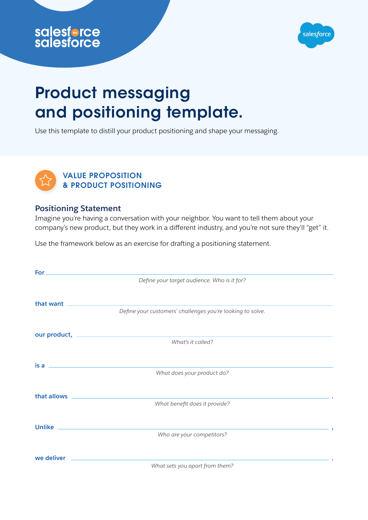



# salesforce<br>
salesforce<br>
Product messaging<br>
and positioning ter<br>
Use this template to distill your product positioning Product messaging and positioning template.

Use this template to distill your product positioning and shape your messaging.



# **Positioning Statement**

Imagine you're having a conversation with your neighbor. You want to tell them about your company's new product, but they work in a different industry, and you're not sure they'll "get" it.

Use the framework below as an exercise for drafting a positioning statement.

| For           |                                                                                                                                                                                                                                                                    |  |  |
|---------------|--------------------------------------------------------------------------------------------------------------------------------------------------------------------------------------------------------------------------------------------------------------------|--|--|
|               | Define your target audience. Who is it for?                                                                                                                                                                                                                        |  |  |
|               |                                                                                                                                                                                                                                                                    |  |  |
| that want     |                                                                                                                                                                                                                                                                    |  |  |
|               | Define your customers' challenges you're looking to solve.                                                                                                                                                                                                         |  |  |
|               |                                                                                                                                                                                                                                                                    |  |  |
|               | What's it called?                                                                                                                                                                                                                                                  |  |  |
|               |                                                                                                                                                                                                                                                                    |  |  |
|               |                                                                                                                                                                                                                                                                    |  |  |
|               | <u>is a second contract of the contract of the contract of the contract of the contract of the contract of the contract of the contract of the contract of the contract of the contract of the contract of the contract of the c</u><br>What does your product do? |  |  |
|               |                                                                                                                                                                                                                                                                    |  |  |
| that allows   |                                                                                                                                                                                                                                                                    |  |  |
|               | What benefit does it provide?                                                                                                                                                                                                                                      |  |  |
|               |                                                                                                                                                                                                                                                                    |  |  |
| <b>Unlike</b> |                                                                                                                                                                                                                                                                    |  |  |
|               | Who are your competitors?                                                                                                                                                                                                                                          |  |  |
|               |                                                                                                                                                                                                                                                                    |  |  |
| we deliver    |                                                                                                                                                                                                                                                                    |  |  |
|               | What sets you apart from them?                                                                                                                                                                                                                                     |  |  |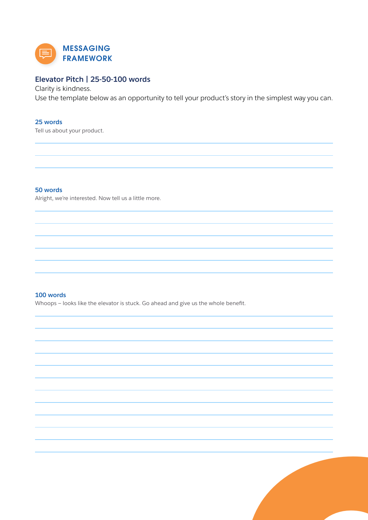

# **Elevator Pitch | 25-50-100 words**

Clarity is kindness.

Use the template below as an opportunity to tell your product's story in the simplest way you can.

S

## **25 words**

Tell us about your product.

# **50 words**

Alright, we're interested. Now tell us a little more.

### **100 words**

Whoops — looks like the elevator is stuck. Go ahead and give us the whole benefit.